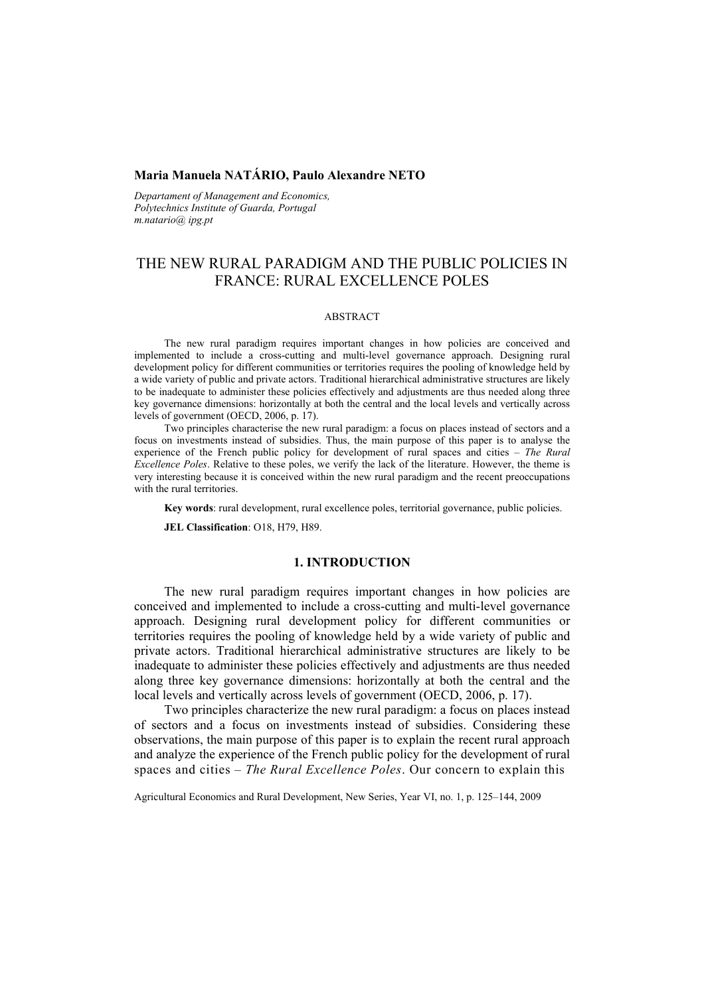## **Maria Manuela NATÁRIO, Paulo Alexandre NETO**

*Departament of Management and Economics, Polytechnics Institute of Guarda, Portugal m.natario@ ipg.pt* 

# THE NEW RURAL PARADIGM AND THE PUBLIC POLICIES IN FRANCE: RURAL EXCELLENCE POLES

#### ABSTRACT

The new rural paradigm requires important changes in how policies are conceived and implemented to include a cross-cutting and multi-level governance approach. Designing rural development policy for different communities or territories requires the pooling of knowledge held by a wide variety of public and private actors. Traditional hierarchical administrative structures are likely to be inadequate to administer these policies effectively and adjustments are thus needed along three key governance dimensions: horizontally at both the central and the local levels and vertically across levels of government (OECD, 2006, p. 17).

Two principles characterise the new rural paradigm: a focus on places instead of sectors and a focus on investments instead of subsidies. Thus, the main purpose of this paper is to analyse the experience of the French public policy for development of rural spaces and cities – *The Rural Excellence Poles*. Relative to these poles, we verify the lack of the literature. However, the theme is very interesting because it is conceived within the new rural paradigm and the recent preoccupations with the rural territories.

**Key words**: rural development, rural excellence poles, territorial governance, public policies.

**JEL Classification**: O18, H79, H89.

#### **1. INTRODUCTION**

The new rural paradigm requires important changes in how policies are conceived and implemented to include a cross-cutting and multi-level governance approach. Designing rural development policy for different communities or territories requires the pooling of knowledge held by a wide variety of public and private actors. Traditional hierarchical administrative structures are likely to be inadequate to administer these policies effectively and adjustments are thus needed along three key governance dimensions: horizontally at both the central and the local levels and vertically across levels of government (OECD, 2006, p. 17).

Two principles characterize the new rural paradigm: a focus on places instead of sectors and a focus on investments instead of subsidies. Considering these observations, the main purpose of this paper is to explain the recent rural approach and analyze the experience of the French public policy for the development of rural spaces and cities – *The Rural Excellence Poles*. Our concern to explain this

Agricultural Economics and Rural Development, New Series, Year VI, no. 1, p. 125–144, 2009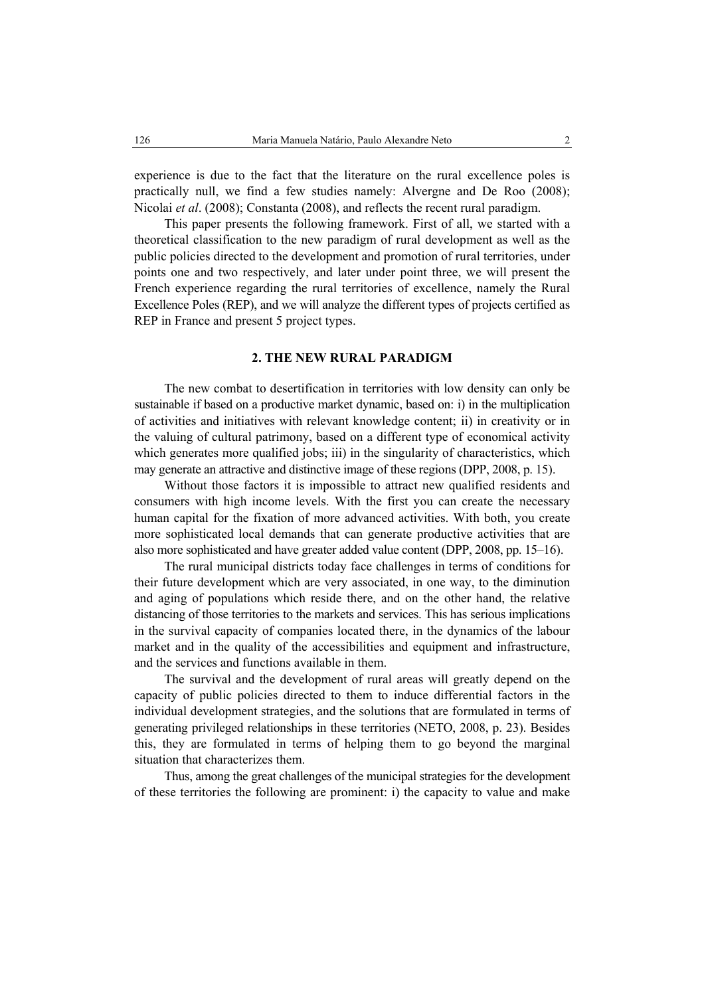experience is due to the fact that the literature on the rural excellence poles is practically null, we find a few studies namely: Alvergne and De Roo (2008); Nicolai *et al*. (2008); Constanta (2008), and reflects the recent rural paradigm.

This paper presents the following framework. First of all, we started with a theoretical classification to the new paradigm of rural development as well as the public policies directed to the development and promotion of rural territories, under points one and two respectively, and later under point three, we will present the French experience regarding the rural territories of excellence, namely the Rural Excellence Poles (REP), and we will analyze the different types of projects certified as REP in France and present 5 project types.

#### **2. THE NEW RURAL PARADIGM**

The new combat to desertification in territories with low density can only be sustainable if based on a productive market dynamic, based on: i) in the multiplication of activities and initiatives with relevant knowledge content; ii) in creativity or in the valuing of cultural patrimony, based on a different type of economical activity which generates more qualified jobs; iii) in the singularity of characteristics, which may generate an attractive and distinctive image of these regions (DPP, 2008, p. 15).

Without those factors it is impossible to attract new qualified residents and consumers with high income levels. With the first you can create the necessary human capital for the fixation of more advanced activities. With both, you create more sophisticated local demands that can generate productive activities that are also more sophisticated and have greater added value content (DPP, 2008, pp. 15–16).

The rural municipal districts today face challenges in terms of conditions for their future development which are very associated, in one way, to the diminution and aging of populations which reside there, and on the other hand, the relative distancing of those territories to the markets and services. This has serious implications in the survival capacity of companies located there, in the dynamics of the labour market and in the quality of the accessibilities and equipment and infrastructure, and the services and functions available in them.

The survival and the development of rural areas will greatly depend on the capacity of public policies directed to them to induce differential factors in the individual development strategies, and the solutions that are formulated in terms of generating privileged relationships in these territories (NETO, 2008, p. 23). Besides this, they are formulated in terms of helping them to go beyond the marginal situation that characterizes them.

Thus, among the great challenges of the municipal strategies for the development of these territories the following are prominent: i) the capacity to value and make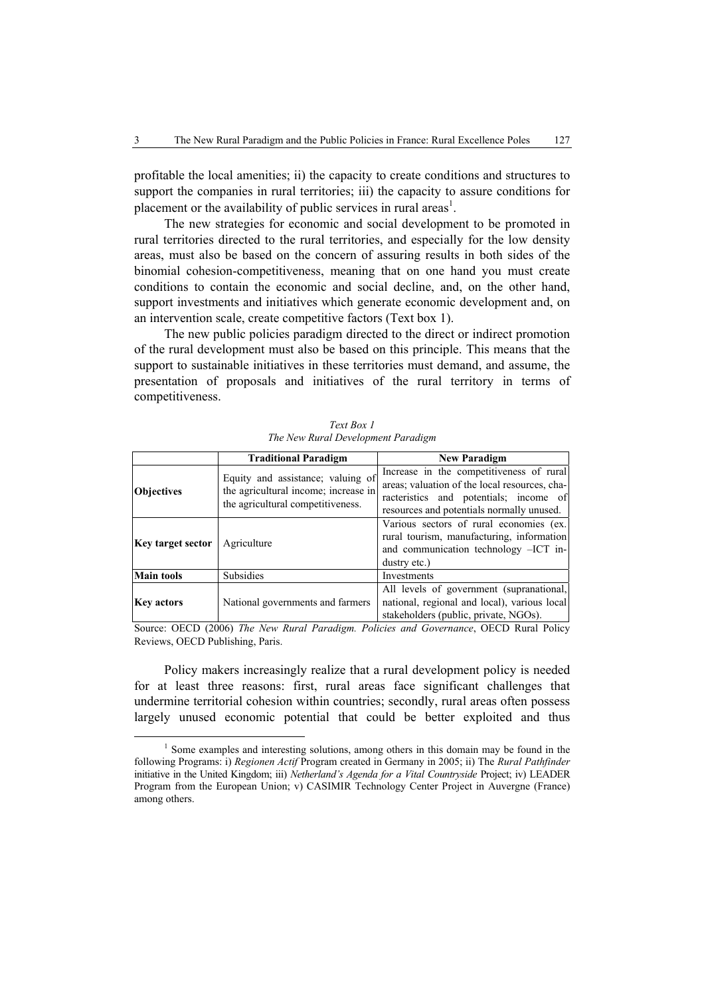profitable the local amenities; ii) the capacity to create conditions and structures to support the companies in rural territories; iii) the capacity to assure conditions for placement or the availability of public services in rural areas<sup>1</sup>.

The new strategies for economic and social development to be promoted in rural territories directed to the rural territories, and especially for the low density areas, must also be based on the concern of assuring results in both sides of the binomial cohesion-competitiveness, meaning that on one hand you must create conditions to contain the economic and social decline, and, on the other hand, support investments and initiatives which generate economic development and, on an intervention scale, create competitive factors (Text box 1).

The new public policies paradigm directed to the direct or indirect promotion of the rural development must also be based on this principle. This means that the support to sustainable initiatives in these territories must demand, and assume, the presentation of proposals and initiatives of the rural territory in terms of competitiveness.

|                   | <b>Traditional Paradigm</b>                                                                                    | <b>New Paradigm</b>                                                                                                                                                              |
|-------------------|----------------------------------------------------------------------------------------------------------------|----------------------------------------------------------------------------------------------------------------------------------------------------------------------------------|
| <b>Objectives</b> | Equity and assistance; valuing of<br>the agricultural income; increase in<br>the agricultural competitiveness. | Increase in the competitiveness of rural<br>areas; valuation of the local resources, cha-<br>racteristics and potentials; income of<br>resources and potentials normally unused. |
| Key target sector | Agriculture                                                                                                    | Various sectors of rural economies (ex.<br>rural tourism, manufacturing, information<br>and communication technology -ICT in-<br>dustry etc.)                                    |
| <b>Main tools</b> | <b>Subsidies</b>                                                                                               | Investments                                                                                                                                                                      |
| <b>Key actors</b> | National governments and farmers                                                                               | All levels of government (supranational,<br>national, regional and local), various local<br>stakeholders (public, private, NGOs).                                                |

*Text Box 1 The New Rural Development Paradigm* 

Source: OECD (2006) *The New Rural Paradigm. Policies and Governance*, OECD Rural Policy Reviews, OECD Publishing, Paris.

Policy makers increasingly realize that a rural development policy is needed for at least three reasons: first, rural areas face significant challenges that undermine territorial cohesion within countries; secondly, rural areas often possess largely unused economic potential that could be better exploited and thus

 $\frac{1}{1}$ <sup>1</sup> Some examples and interesting solutions, among others in this domain may be found in the following Programs: i) *Regionen Actif* Program created in Germany in 2005; ii) The *Rural Pathfinder* initiative in the United Kingdom; iii) *Netherland's Agenda for a Vital Countryside* Project; iv) LEADER Program from the European Union; v) CASIMIR Technology Center Project in Auvergne (France) among others.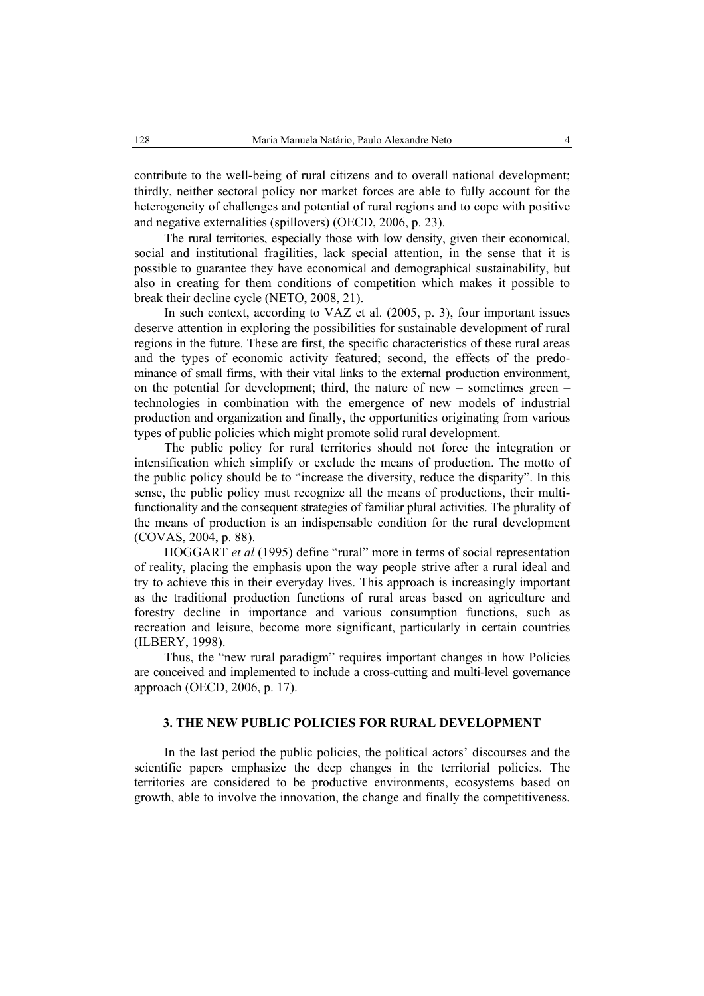contribute to the well-being of rural citizens and to overall national development; thirdly, neither sectoral policy nor market forces are able to fully account for the heterogeneity of challenges and potential of rural regions and to cope with positive and negative externalities (spillovers) (OECD, 2006, p. 23).

The rural territories, especially those with low density, given their economical, social and institutional fragilities, lack special attention, in the sense that it is possible to guarantee they have economical and demographical sustainability, but also in creating for them conditions of competition which makes it possible to break their decline cycle (NETO, 2008, 21).

In such context, according to VAZ et al. (2005, p. 3), four important issues deserve attention in exploring the possibilities for sustainable development of rural regions in the future. These are first, the specific characteristics of these rural areas and the types of economic activity featured; second, the effects of the predominance of small firms, with their vital links to the external production environment, on the potential for development; third, the nature of new – sometimes green – technologies in combination with the emergence of new models of industrial production and organization and finally, the opportunities originating from various types of public policies which might promote solid rural development.

The public policy for rural territories should not force the integration or intensification which simplify or exclude the means of production. The motto of the public policy should be to "increase the diversity, reduce the disparity". In this sense, the public policy must recognize all the means of productions, their multifunctionality and the consequent strategies of familiar plural activities. The plurality of the means of production is an indispensable condition for the rural development (COVAS, 2004, p. 88).

HOGGART *et al* (1995) define "rural" more in terms of social representation of reality, placing the emphasis upon the way people strive after a rural ideal and try to achieve this in their everyday lives. This approach is increasingly important as the traditional production functions of rural areas based on agriculture and forestry decline in importance and various consumption functions, such as recreation and leisure, become more significant, particularly in certain countries (ILBERY, 1998).

Thus, the "new rural paradigm" requires important changes in how Policies are conceived and implemented to include a cross-cutting and multi-level governance approach (OECD, 2006, p. 17).

## **3. THE NEW PUBLIC POLICIES FOR RURAL DEVELOPMENT**

In the last period the public policies, the political actors' discourses and the scientific papers emphasize the deep changes in the territorial policies. The territories are considered to be productive environments, ecosystems based on growth, able to involve the innovation, the change and finally the competitiveness.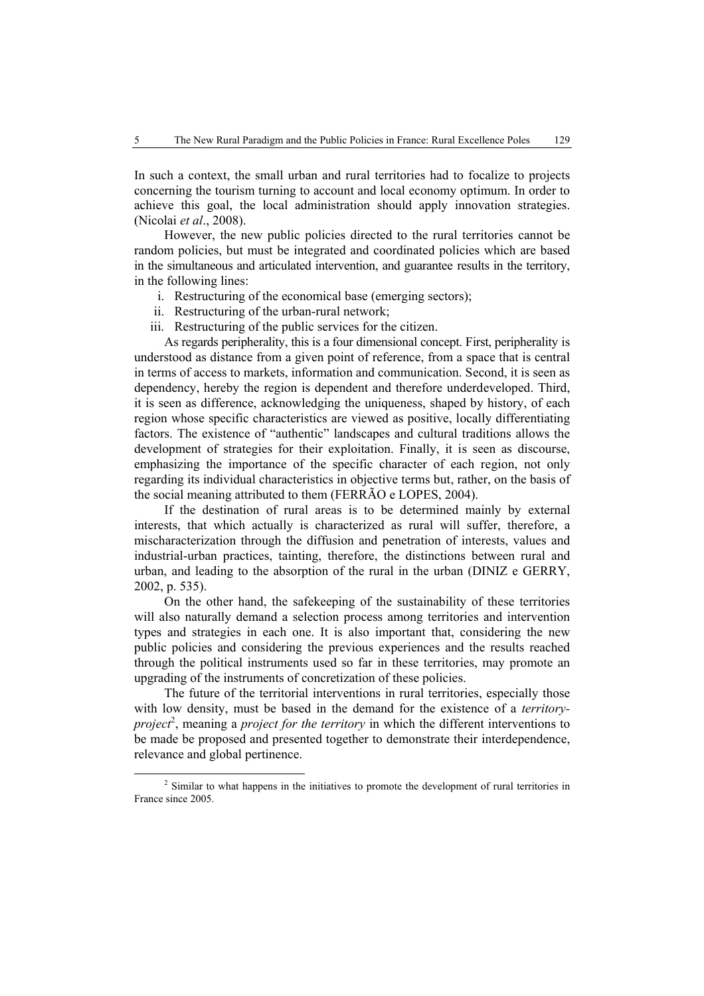In such a context, the small urban and rural territories had to focalize to projects concerning the tourism turning to account and local economy optimum. In order to achieve this goal, the local administration should apply innovation strategies. (Nicolai *et al*., 2008).

However, the new public policies directed to the rural territories cannot be random policies, but must be integrated and coordinated policies which are based in the simultaneous and articulated intervention, and guarantee results in the territory, in the following lines:

- i. Restructuring of the economical base (emerging sectors);
- ii. Restructuring of the urban-rural network;
- iii. Restructuring of the public services for the citizen.

As regards peripherality, this is a four dimensional concept. First, peripherality is understood as distance from a given point of reference, from a space that is central in terms of access to markets, information and communication. Second, it is seen as dependency, hereby the region is dependent and therefore underdeveloped. Third, it is seen as difference, acknowledging the uniqueness, shaped by history, of each region whose specific characteristics are viewed as positive, locally differentiating factors. The existence of "authentic" landscapes and cultural traditions allows the development of strategies for their exploitation. Finally, it is seen as discourse, emphasizing the importance of the specific character of each region, not only regarding its individual characteristics in objective terms but, rather, on the basis of the social meaning attributed to them (FERRÃO e LOPES, 2004).

If the destination of rural areas is to be determined mainly by external interests, that which actually is characterized as rural will suffer, therefore, a mischaracterization through the diffusion and penetration of interests, values and industrial-urban practices, tainting, therefore, the distinctions between rural and urban, and leading to the absorption of the rural in the urban (DINIZ e GERRY, 2002, p. 535).

On the other hand, the safekeeping of the sustainability of these territories will also naturally demand a selection process among territories and intervention types and strategies in each one. It is also important that, considering the new public policies and considering the previous experiences and the results reached through the political instruments used so far in these territories, may promote an upgrading of the instruments of concretization of these policies.

The future of the territorial interventions in rural territories, especially those with low density, must be based in the demand for the existence of a *territoryproject*<sup>2</sup>, meaning a *project for the territory* in which the different interventions to be made be proposed and presented together to demonstrate their interdependence, relevance and global pertinence.

 <sup>2</sup> <sup>2</sup> Similar to what happens in the initiatives to promote the development of rural territories in France since 2005.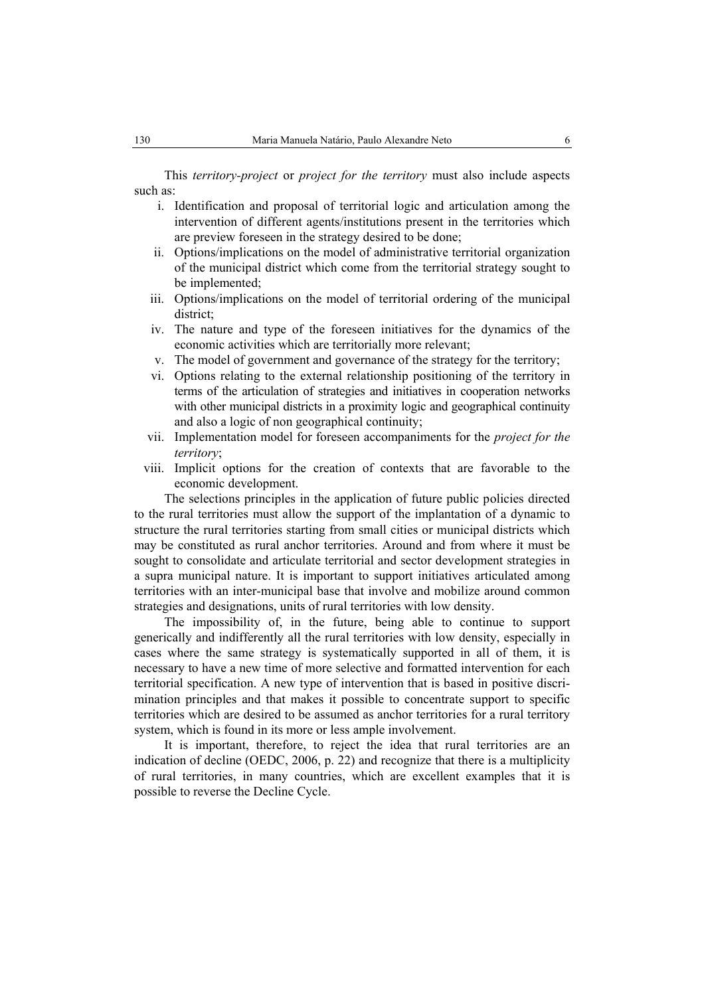This *territory-project* or *project for the territory* must also include aspects such as:

- i. Identification and proposal of territorial logic and articulation among the intervention of different agents/institutions present in the territories which are preview foreseen in the strategy desired to be done;
- ii. Options/implications on the model of administrative territorial organization of the municipal district which come from the territorial strategy sought to be implemented;
- iii. Options/implications on the model of territorial ordering of the municipal district;
- iv. The nature and type of the foreseen initiatives for the dynamics of the economic activities which are territorially more relevant;
- v. The model of government and governance of the strategy for the territory;
- vi. Options relating to the external relationship positioning of the territory in terms of the articulation of strategies and initiatives in cooperation networks with other municipal districts in a proximity logic and geographical continuity and also a logic of non geographical continuity;
- vii. Implementation model for foreseen accompaniments for the *project for the territory*;
- viii. Implicit options for the creation of contexts that are favorable to the economic development.

The selections principles in the application of future public policies directed to the rural territories must allow the support of the implantation of a dynamic to structure the rural territories starting from small cities or municipal districts which may be constituted as rural anchor territories. Around and from where it must be sought to consolidate and articulate territorial and sector development strategies in a supra municipal nature. It is important to support initiatives articulated among territories with an inter-municipal base that involve and mobilize around common strategies and designations, units of rural territories with low density.

The impossibility of, in the future, being able to continue to support generically and indifferently all the rural territories with low density, especially in cases where the same strategy is systematically supported in all of them, it is necessary to have a new time of more selective and formatted intervention for each territorial specification. A new type of intervention that is based in positive discrimination principles and that makes it possible to concentrate support to specific territories which are desired to be assumed as anchor territories for a rural territory system, which is found in its more or less ample involvement.

It is important, therefore, to reject the idea that rural territories are an indication of decline (OEDC, 2006, p. 22) and recognize that there is a multiplicity of rural territories, in many countries, which are excellent examples that it is possible to reverse the Decline Cycle.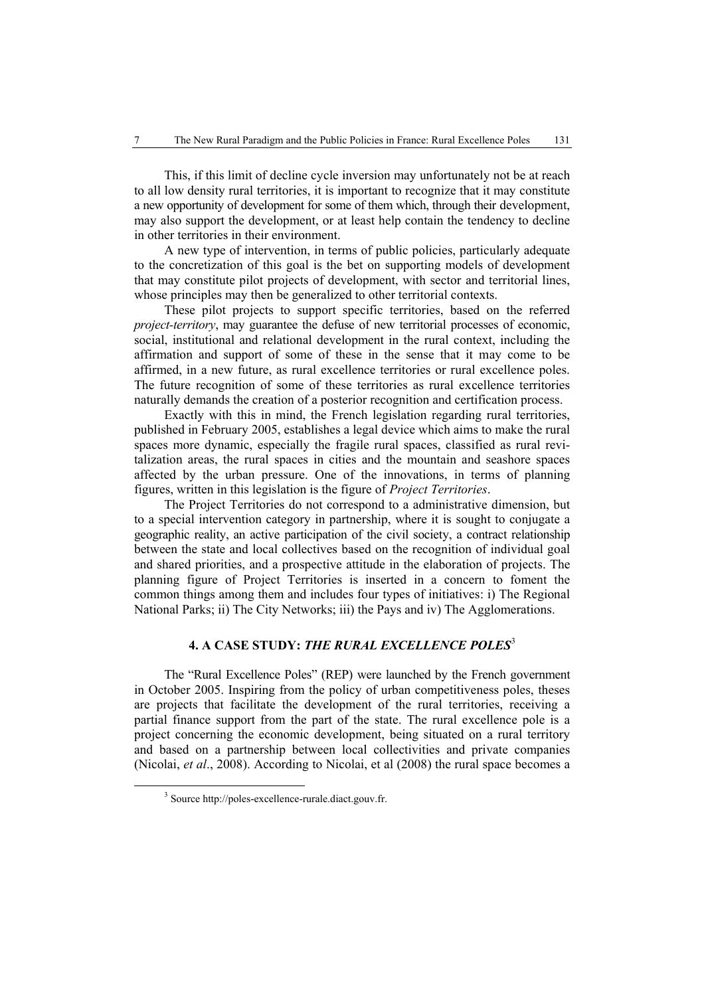This, if this limit of decline cycle inversion may unfortunately not be at reach to all low density rural territories, it is important to recognize that it may constitute a new opportunity of development for some of them which, through their development, may also support the development, or at least help contain the tendency to decline in other territories in their environment.

A new type of intervention, in terms of public policies, particularly adequate to the concretization of this goal is the bet on supporting models of development that may constitute pilot projects of development, with sector and territorial lines, whose principles may then be generalized to other territorial contexts.

These pilot projects to support specific territories, based on the referred *project-territory*, may guarantee the defuse of new territorial processes of economic. social, institutional and relational development in the rural context, including the affirmation and support of some of these in the sense that it may come to be affirmed, in a new future, as rural excellence territories or rural excellence poles. The future recognition of some of these territories as rural excellence territories naturally demands the creation of a posterior recognition and certification process.

Exactly with this in mind, the French legislation regarding rural territories, published in February 2005, establishes a legal device which aims to make the rural spaces more dynamic, especially the fragile rural spaces, classified as rural revitalization areas, the rural spaces in cities and the mountain and seashore spaces affected by the urban pressure. One of the innovations, in terms of planning figures, written in this legislation is the figure of *Project Territories*.

The Project Territories do not correspond to a administrative dimension, but to a special intervention category in partnership, where it is sought to conjugate a geographic reality, an active participation of the civil society, a contract relationship between the state and local collectives based on the recognition of individual goal and shared priorities, and a prospective attitude in the elaboration of projects. The planning figure of Project Territories is inserted in a concern to foment the common things among them and includes four types of initiatives: i) The Regional National Parks; ii) The City Networks; iii) the Pays and iv) The Agglomerations.

## **4. A CASE STUDY:** *THE RURAL EXCELLENCE POLES*<sup>3</sup>

The "Rural Excellence Poles" (REP) were launched by the French government in October 2005. Inspiring from the policy of urban competitiveness poles, theses are projects that facilitate the development of the rural territories, receiving a partial finance support from the part of the state. The rural excellence pole is a project concerning the economic development, being situated on a rural territory and based on a partnership between local collectivities and private companies (Nicolai, *et al*., 2008). According to Nicolai, et al (2008) the rural space becomes a

 $\frac{3}{3}$ <sup>3</sup> Source http://poles-excellence-rurale.diact.gouv.fr.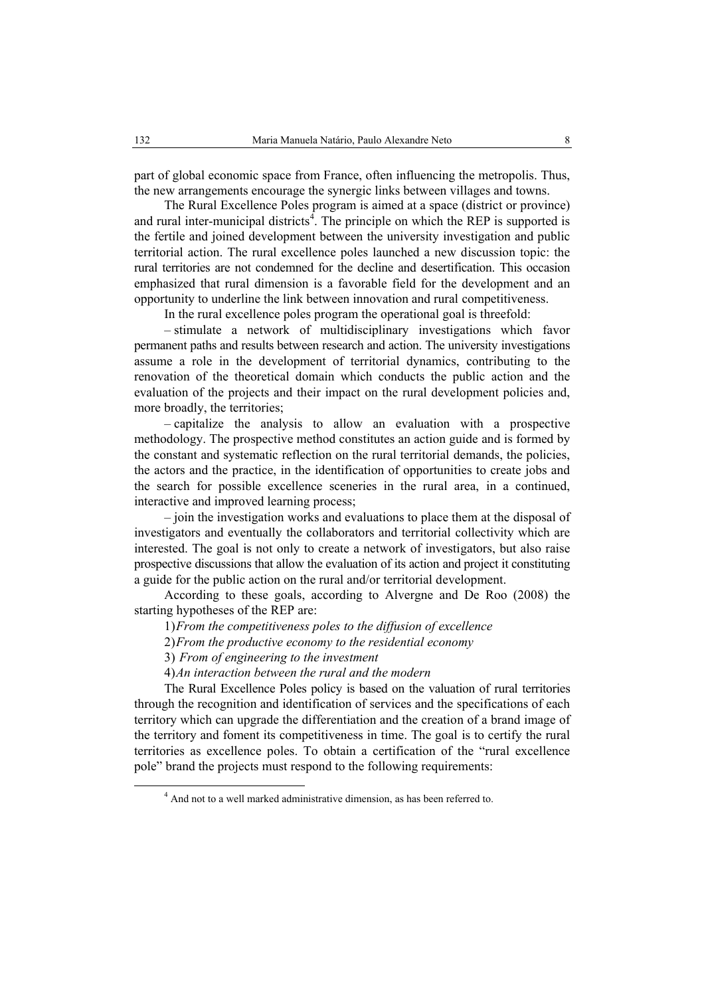part of global economic space from France, often influencing the metropolis. Thus, the new arrangements encourage the synergic links between villages and towns.

The Rural Excellence Poles program is aimed at a space (district or province) and rural inter-municipal districts<sup>4</sup>. The principle on which the REP is supported is the fertile and joined development between the university investigation and public territorial action. The rural excellence poles launched a new discussion topic: the rural territories are not condemned for the decline and desertification. This occasion emphasized that rural dimension is a favorable field for the development and an opportunity to underline the link between innovation and rural competitiveness.

In the rural excellence poles program the operational goal is threefold:

– stimulate a network of multidisciplinary investigations which favor permanent paths and results between research and action. The university investigations assume a role in the development of territorial dynamics, contributing to the renovation of the theoretical domain which conducts the public action and the evaluation of the projects and their impact on the rural development policies and, more broadly, the territories;

– capitalize the analysis to allow an evaluation with a prospective methodology. The prospective method constitutes an action guide and is formed by the constant and systematic reflection on the rural territorial demands, the policies, the actors and the practice, in the identification of opportunities to create jobs and the search for possible excellence sceneries in the rural area, in a continued, interactive and improved learning process;

– join the investigation works and evaluations to place them at the disposal of investigators and eventually the collaborators and territorial collectivity which are interested. The goal is not only to create a network of investigators, but also raise prospective discussions that allow the evaluation of its action and project it constituting a guide for the public action on the rural and/or territorial development.

According to these goals, according to Alvergne and De Roo (2008) the starting hypotheses of the REP are:

1)*From the competitiveness poles to the diffusion of excellence* 

2)*From the productive economy to the residential economy*

3) *From of engineering to the investment* 

4)*An interaction between the rural and the modern* 

The Rural Excellence Poles policy is based on the valuation of rural territories through the recognition and identification of services and the specifications of each territory which can upgrade the differentiation and the creation of a brand image of the territory and foment its competitiveness in time. The goal is to certify the rural territories as excellence poles. To obtain a certification of the "rural excellence pole" brand the projects must respond to the following requirements:

 $\overline{4}$ <sup>4</sup> And not to a well marked administrative dimension, as has been referred to.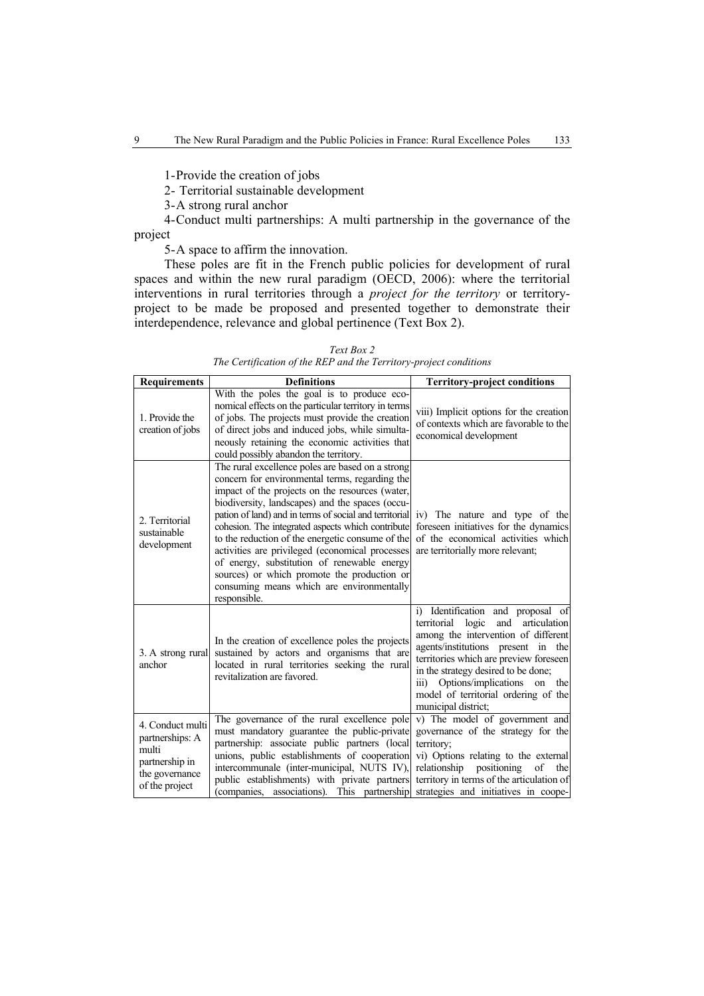1-Provide the creation of jobs

2- Territorial sustainable development

3-A strong rural anchor

4-Conduct multi partnerships: A multi partnership in the governance of the project

5-A space to affirm the innovation.

These poles are fit in the French public policies for development of rural spaces and within the new rural paradigm (OECD, 2006): where the territorial interventions in rural territories through a *project for the territory* or territoryproject to be made be proposed and presented together to demonstrate their interdependence, relevance and global pertinence (Text Box 2).

*Text Box 2 The Certification of the REP and the Territory-project conditions* 

| <b>Requirements</b>                                                                                | <b>Definitions</b>                                                                                                                                                                                                                                                                                                                                                                                                                                                                                                                                                                        | <b>Territory-project conditions</b>                                                                                                                                                                                                                                                                                                                           |
|----------------------------------------------------------------------------------------------------|-------------------------------------------------------------------------------------------------------------------------------------------------------------------------------------------------------------------------------------------------------------------------------------------------------------------------------------------------------------------------------------------------------------------------------------------------------------------------------------------------------------------------------------------------------------------------------------------|---------------------------------------------------------------------------------------------------------------------------------------------------------------------------------------------------------------------------------------------------------------------------------------------------------------------------------------------------------------|
| 1. Provide the<br>creation of jobs                                                                 | With the poles the goal is to produce eco-<br>nomical effects on the particular territory in terms<br>of jobs. The projects must provide the creation<br>of direct jobs and induced jobs, while simulta-<br>neously retaining the economic activities that<br>could possibly abandon the territory.                                                                                                                                                                                                                                                                                       | viii) Implicit options for the creation<br>of contexts which are favorable to the<br>economical development                                                                                                                                                                                                                                                   |
| 2. Territorial<br>sustainable<br>development                                                       | The rural excellence poles are based on a strong<br>concern for environmental terms, regarding the<br>impact of the projects on the resources (water,<br>biodiversity, landscapes) and the spaces (occu-<br>pation of land) and in terms of social and territorial<br>cohesion. The integrated aspects which contribute<br>to the reduction of the energetic consume of the<br>activities are privileged (economical processes<br>of energy, substitution of renewable energy<br>sources) or which promote the production or<br>consuming means which are environmentally<br>responsible. | iv) The nature and type of the<br>foreseen initiatives for the dynamics<br>of the economical activities which<br>are territorially more relevant;                                                                                                                                                                                                             |
| 3. A strong rural<br>anchor                                                                        | In the creation of excellence poles the projects<br>sustained by actors and organisms that are<br>located in rural territories seeking the rural<br>revitalization are favored.                                                                                                                                                                                                                                                                                                                                                                                                           | i) Identification and proposal of<br>logic<br>territorial<br>and<br>articulation<br>among the intervention of different<br>agents/institutions present in<br>the<br>territories which are preview foreseen<br>in the strategy desired to be done;<br>Options/implications<br>iii)<br>the<br>on<br>model of territorial ordering of the<br>municipal district; |
| 4. Conduct multi<br>partnerships: A<br>multi<br>partnership in<br>the governance<br>of the project | The governance of the rural excellence pole<br>must mandatory guarantee the public-private<br>partnership: associate public partners (local<br>unions, public establishments of cooperation<br>intercommunale (inter-municipal, NUTS IV),<br>public establishments) with private partners<br>(companies, associations). This partnership                                                                                                                                                                                                                                                  | v) The model of government and<br>governance of the strategy for the<br>territory;<br>vi) Options relating to the external<br>relationship<br>positioning<br>of<br>the<br>territory in terms of the articulation of<br>strategies and initiatives in coope-                                                                                                   |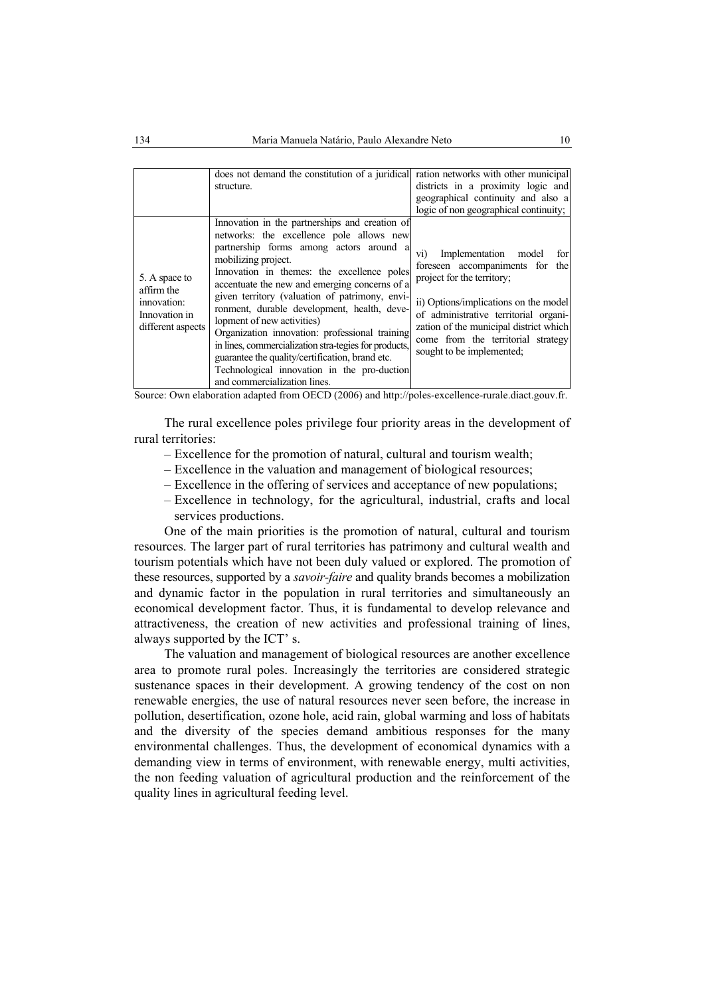|                                                                                  | does not demand the constitution of a juridical<br>structure.                                                                                                                                                                                                                                                                                                                                                                                                                                                                                                                                                                            | ration networks with other municipal<br>districts in a proximity logic and<br>geographical continuity and also a<br>logic of non geographical continuity;                                                                                                                                                |
|----------------------------------------------------------------------------------|------------------------------------------------------------------------------------------------------------------------------------------------------------------------------------------------------------------------------------------------------------------------------------------------------------------------------------------------------------------------------------------------------------------------------------------------------------------------------------------------------------------------------------------------------------------------------------------------------------------------------------------|----------------------------------------------------------------------------------------------------------------------------------------------------------------------------------------------------------------------------------------------------------------------------------------------------------|
| 5. A space to<br>affirm the<br>innovation:<br>Innovation in<br>different aspects | Innovation in the partnerships and creation of<br>networks: the excellence pole allows new<br>partnership forms among actors around a<br>mobilizing project.<br>Innovation in the mes: the excellence poles<br>accentuate the new and emerging concerns of a<br>given territory (valuation of patrimony, envi-<br>ronment, durable development, health, deve-<br>lopment of new activities)<br>Organization innovation: professional training<br>in lines, commercialization stra-tegies for products.<br>guarantee the quality/certification, brand etc.<br>Technological innovation in the pro-duction<br>and commercialization lines. | Implementation<br>model<br>for<br>V1)<br>foreseen accompaniments for<br>the<br>project for the territory;<br>ii) Options/implications on the model<br>of administrative territorial organi-<br>zation of the municipal district which<br>come from the territorial strategy<br>sought to be implemented; |

Source: Own elaboration adapted from OECD (2006) and http://poles-excellence-rurale.diact.gouv.fr.

The rural excellence poles privilege four priority areas in the development of rural territories:

- Excellence for the promotion of natural, cultural and tourism wealth;
- Excellence in the valuation and management of biological resources;
- Excellence in the offering of services and acceptance of new populations;
- Excellence in technology, for the agricultural, industrial, crafts and local services productions.

One of the main priorities is the promotion of natural, cultural and tourism resources. The larger part of rural territories has patrimony and cultural wealth and tourism potentials which have not been duly valued or explored. The promotion of these resources, supported by a *savoir-faire* and quality brands becomes a mobilization and dynamic factor in the population in rural territories and simultaneously an economical development factor. Thus, it is fundamental to develop relevance and attractiveness, the creation of new activities and professional training of lines, always supported by the ICT' s.

The valuation and management of biological resources are another excellence area to promote rural poles. Increasingly the territories are considered strategic sustenance spaces in their development. A growing tendency of the cost on non renewable energies, the use of natural resources never seen before, the increase in pollution, desertification, ozone hole, acid rain, global warming and loss of habitats and the diversity of the species demand ambitious responses for the many environmental challenges. Thus, the development of economical dynamics with a demanding view in terms of environment, with renewable energy, multi activities, the non feeding valuation of agricultural production and the reinforcement of the quality lines in agricultural feeding level.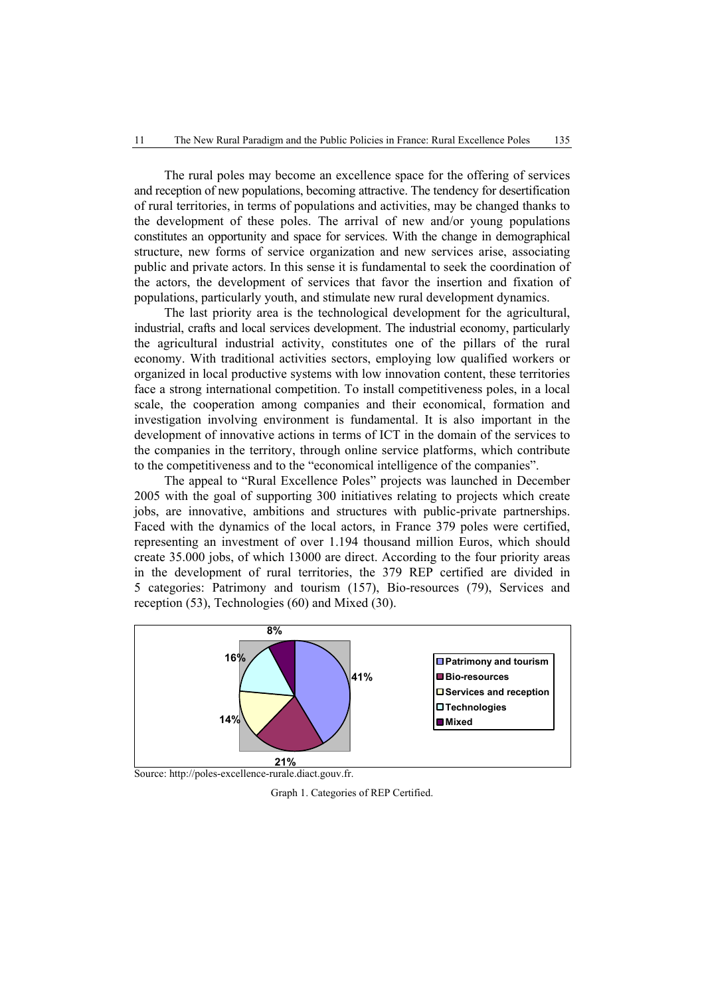The rural poles may become an excellence space for the offering of services and reception of new populations, becoming attractive. The tendency for desertification of rural territories, in terms of populations and activities, may be changed thanks to the development of these poles. The arrival of new and/or young populations constitutes an opportunity and space for services. With the change in demographical structure, new forms of service organization and new services arise, associating public and private actors. In this sense it is fundamental to seek the coordination of the actors, the development of services that favor the insertion and fixation of populations, particularly youth, and stimulate new rural development dynamics.

The last priority area is the technological development for the agricultural, industrial, crafts and local services development. The industrial economy, particularly the agricultural industrial activity, constitutes one of the pillars of the rural economy. With traditional activities sectors, employing low qualified workers or organized in local productive systems with low innovation content, these territories face a strong international competition. To install competitiveness poles, in a local scale, the cooperation among companies and their economical, formation and investigation involving environment is fundamental. It is also important in the development of innovative actions in terms of ICT in the domain of the services to the companies in the territory, through online service platforms, which contribute to the competitiveness and to the "economical intelligence of the companies".

The appeal to "Rural Excellence Poles" projects was launched in December 2005 with the goal of supporting 300 initiatives relating to projects which create jobs, are innovative, ambitions and structures with public-private partnerships. Faced with the dynamics of the local actors, in France 379 poles were certified, representing an investment of over 1.194 thousand million Euros, which should create 35.000 jobs, of which 13000 are direct. According to the four priority areas in the development of rural territories, the 379 REP certified are divided in 5 categories: Patrimony and tourism (157), Bio-resources (79), Services and reception (53), Technologies (60) and Mixed (30).



Graph 1. Categories of REP Certified.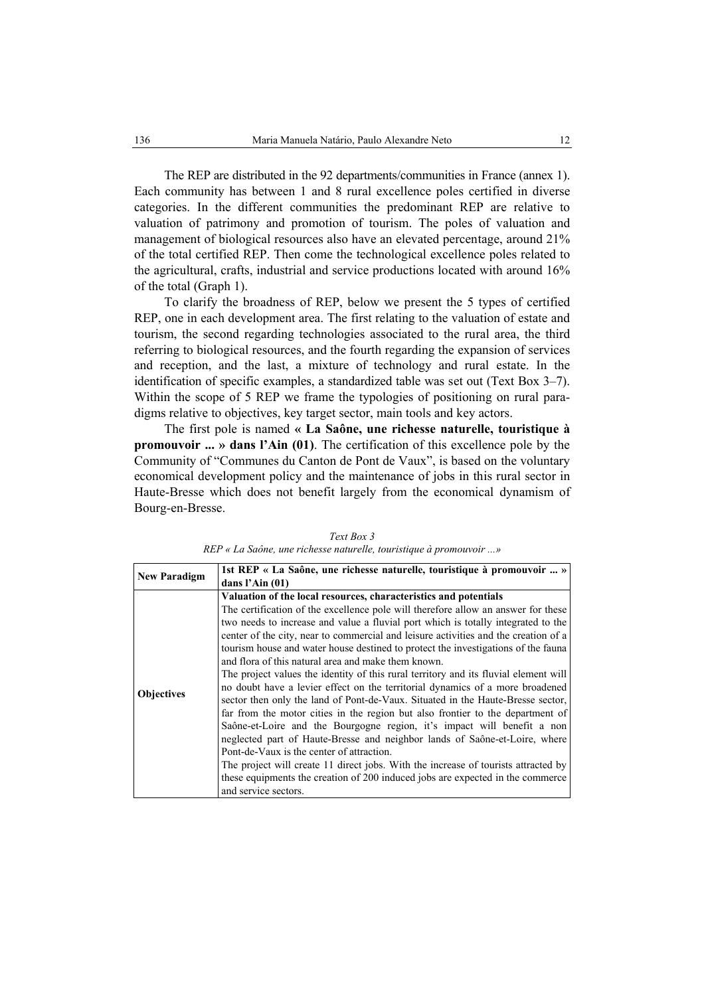The REP are distributed in the 92 departments/communities in France (annex 1). Each community has between 1 and 8 rural excellence poles certified in diverse categories. In the different communities the predominant REP are relative to valuation of patrimony and promotion of tourism. The poles of valuation and management of biological resources also have an elevated percentage, around 21% of the total certified REP. Then come the technological excellence poles related to the agricultural, crafts, industrial and service productions located with around 16% of the total (Graph 1).

To clarify the broadness of REP, below we present the 5 types of certified REP, one in each development area. The first relating to the valuation of estate and tourism, the second regarding technologies associated to the rural area, the third referring to biological resources, and the fourth regarding the expansion of services and reception, and the last, a mixture of technology and rural estate. In the identification of specific examples, a standardized table was set out (Text Box 3–7). Within the scope of 5 REP we frame the typologies of positioning on rural paradigms relative to objectives, key target sector, main tools and key actors.

The first pole is named **« La Saône, une richesse naturelle, touristique à promouvoir ... » dans l'Ain (01)**. The certification of this excellence pole by the Community of "Communes du Canton de Pont de Vaux", is based on the voluntary economical development policy and the maintenance of jobs in this rural sector in Haute-Bresse which does not benefit largely from the economical dynamism of Bourg-en-Bresse.

| <b>New Paradigm</b> | 1st REP « La Saône, une richesse naturelle, touristique à promouvoir  »              |  |
|---------------------|--------------------------------------------------------------------------------------|--|
|                     | dans l'Ain $(01)$                                                                    |  |
|                     | Valuation of the local resources, characteristics and potentials                     |  |
|                     | The certification of the excellence pole will therefore allow an answer for these    |  |
|                     | two needs to increase and value a fluvial port which is totally integrated to the    |  |
|                     | center of the city, near to commercial and leisure activities and the creation of a  |  |
|                     | tourism house and water house destined to protect the investigations of the fauna    |  |
|                     | and flora of this natural area and make them known.                                  |  |
|                     | The project values the identity of this rural territory and its fluvial element will |  |
| <b>Objectives</b>   | no doubt have a levier effect on the territorial dynamics of a more broadened        |  |
|                     | sector then only the land of Pont-de-Vaux. Situated in the Haute-Bresse sector,      |  |
|                     | far from the motor cities in the region but also frontier to the department of       |  |
|                     | Saône-et-Loire and the Bourgogne region, it's impact will benefit a non              |  |
|                     | neglected part of Haute-Bresse and neighbor lands of Saône-et-Loire, where           |  |
|                     | Pont-de-Vaux is the center of attraction.                                            |  |
|                     | The project will create 11 direct jobs. With the increase of tourists attracted by   |  |
|                     | these equipments the creation of 200 induced jobs are expected in the commerce       |  |
|                     | and service sectors.                                                                 |  |

*Text Box 3 REP « La Saône, une richesse naturelle, touristique à promouvoir ...»*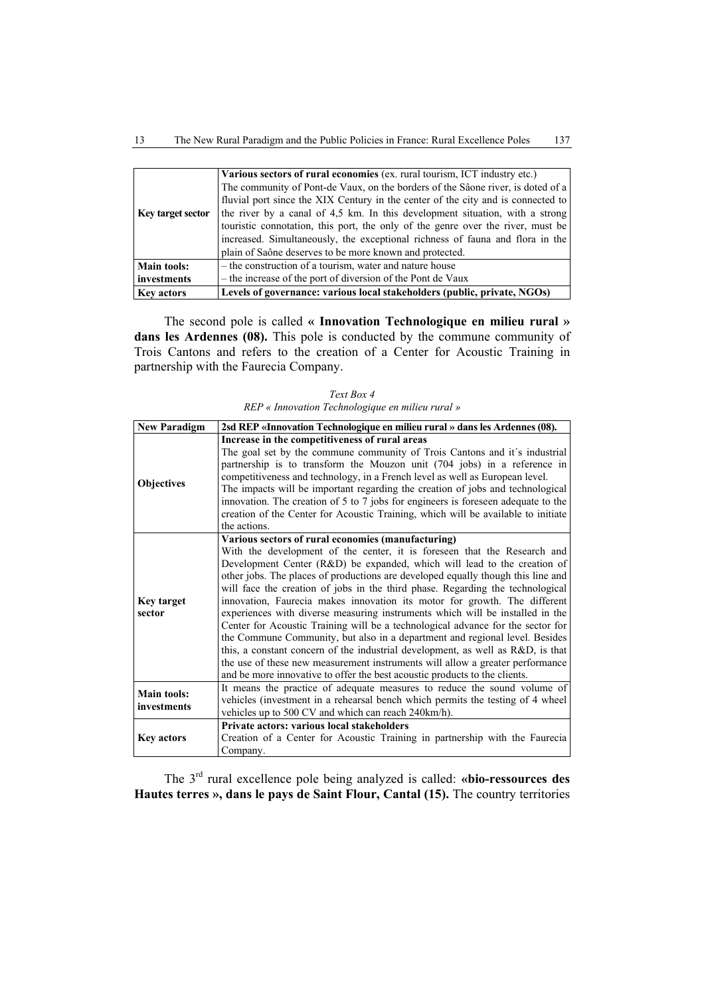|                    | Various sectors of rural economies (ex. rural tourism, ICT industry etc.)        |
|--------------------|----------------------------------------------------------------------------------|
|                    | The community of Pont-de Vaux, on the borders of the Sâone river, is doted of a  |
|                    | fluvial port since the XIX Century in the center of the city and is connected to |
| Key target sector  | the river by a canal of 4.5 km. In this development situation, with a strong     |
|                    | touristic connotation, this port, the only of the genre over the river, must be  |
|                    | increased. Simultaneously, the exceptional richness of fauna and flora in the    |
|                    | plain of Saône deserves to be more known and protected.                          |
| <b>Main tools:</b> | - the construction of a tourism, water and nature house                          |
| investments        | – the increase of the port of diversion of the Pont de Vaux                      |
| <b>Key actors</b>  | Levels of governance: various local stakeholders (public, private, NGOs)         |

The second pole is called **« Innovation Technologique en milieu rural »**  dans les Ardennes (08). This pole is conducted by the commune community of Trois Cantons and refers to the creation of a Center for Acoustic Training in partnership with the Faurecia Company.

| <b>New Paradigm</b>               | 2sd REP «Innovation Technologique en milieu rural » dans les Ardennes (08).                                                                                                                                                                                                                                                                                                                                                                                                                                                                                                                                                                                                                                                                                                                                                                                                                                                                                        |
|-----------------------------------|--------------------------------------------------------------------------------------------------------------------------------------------------------------------------------------------------------------------------------------------------------------------------------------------------------------------------------------------------------------------------------------------------------------------------------------------------------------------------------------------------------------------------------------------------------------------------------------------------------------------------------------------------------------------------------------------------------------------------------------------------------------------------------------------------------------------------------------------------------------------------------------------------------------------------------------------------------------------|
|                                   | Increase in the competitiveness of rural areas                                                                                                                                                                                                                                                                                                                                                                                                                                                                                                                                                                                                                                                                                                                                                                                                                                                                                                                     |
| <b>Objectives</b>                 | The goal set by the commune community of Trois Cantons and it's industrial<br>partnership is to transform the Mouzon unit (704 jobs) in a reference in<br>competitiveness and technology, in a French level as well as European level.<br>The impacts will be important regarding the creation of jobs and technological<br>innovation. The creation of 5 to 7 jobs for engineers is foreseen adequate to the<br>creation of the Center for Acoustic Training, which will be available to initiate<br>the actions.                                                                                                                                                                                                                                                                                                                                                                                                                                                 |
| Key target<br>sector              | Various sectors of rural economies (manufacturing)<br>With the development of the center, it is foreseen that the Research and<br>Development Center (R&D) be expanded, which will lead to the creation of<br>other jobs. The places of productions are developed equally though this line and<br>will face the creation of jobs in the third phase. Regarding the technological<br>innovation, Faurecia makes innovation its motor for growth. The different<br>experiences with diverse measuring instruments which will be installed in the<br>Center for Acoustic Training will be a technological advance for the sector for<br>the Commune Community, but also in a department and regional level. Besides<br>this, a constant concern of the industrial development, as well as R&D, is that<br>the use of these new measurement instruments will allow a greater performance<br>and be more innovative to offer the best acoustic products to the clients. |
| <b>Main tools:</b><br>investments | It means the practice of adequate measures to reduce the sound volume of<br>vehicles (investment in a rehearsal bench which permits the testing of 4 wheel<br>vehicles up to 500 CV and which can reach 240km/h).                                                                                                                                                                                                                                                                                                                                                                                                                                                                                                                                                                                                                                                                                                                                                  |
| <b>Key actors</b>                 | Private actors: various local stakeholders<br>Creation of a Center for Acoustic Training in partnership with the Faurecia<br>Company.                                                                                                                                                                                                                                                                                                                                                                                                                                                                                                                                                                                                                                                                                                                                                                                                                              |

*Text Box 4 REP « Innovation Technologique en milieu rural »* 

The 3rd rural excellence pole being analyzed is called: **«bio-ressources des Hautes terres », dans le pays de Saint Flour, Cantal (15).** The country territories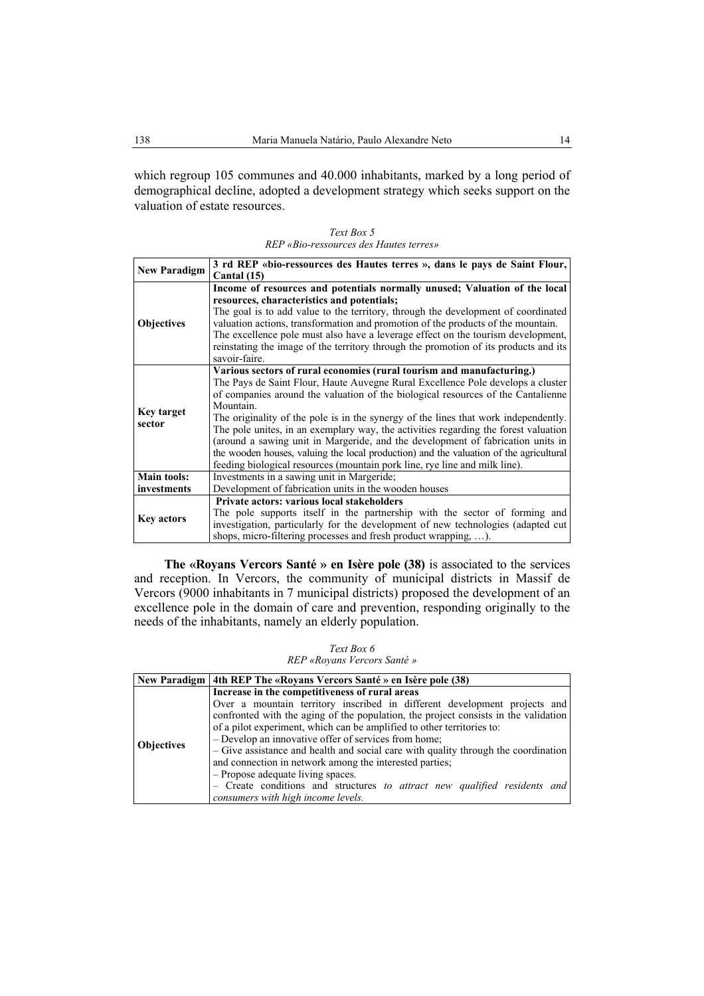which regroup 105 communes and 40.000 inhabitants, marked by a long period of demographical decline, adopted a development strategy which seeks support on the valuation of estate resources.

| Text Box 5                             |
|----------------------------------------|
| REP «Bio-ressources des Hautes terres» |

| <b>New Paradigm</b> | 3 rd REP «bio-ressources des Hautes terres », dans le pays de Saint Flour,             |
|---------------------|----------------------------------------------------------------------------------------|
|                     | Cantal (15)                                                                            |
|                     | Income of resources and potentials normally unused; Valuation of the local             |
|                     | resources, characteristics and potentials;                                             |
|                     | The goal is to add value to the territory, through the development of coordinated      |
| <b>Objectives</b>   | valuation actions, transformation and promotion of the products of the mountain.       |
|                     | The excellence pole must also have a leverage effect on the tourism development,       |
|                     | reinstating the image of the territory through the promotion of its products and its   |
|                     | savoir-faire.                                                                          |
|                     | Various sectors of rural economies (rural tourism and manufacturing.)                  |
|                     | The Pays de Saint Flour, Haute Auvegne Rural Excellence Pole develops a cluster        |
|                     | of companies around the valuation of the biological resources of the Cantalienne       |
| Key target          | Mountain.                                                                              |
| sector              | The originality of the pole is in the synergy of the lines that work independently.    |
|                     | The pole unites, in an exemplary way, the activities regarding the forest valuation    |
|                     | (around a sawing unit in Margeride, and the development of fabrication units in        |
|                     | the wooden houses, valuing the local production) and the valuation of the agricultural |
|                     | feeding biological resources (mountain pork line, rye line and milk line).             |
| <b>Main tools:</b>  | Investments in a sawing unit in Margeride;                                             |
| investments         | Development of fabrication units in the wooden houses                                  |
| <b>Key actors</b>   | Private actors: various local stakeholders                                             |
|                     | The pole supports itself in the partnership with the sector of forming and             |
|                     | investigation, particularly for the development of new technologies (adapted cut       |
|                     | shops, micro-filtering processes and fresh product wrapping, ).                        |

**The «Royans Vercors Santé » en Isère pole (38)** is associated to the services and reception. In Vercors, the community of municipal districts in Massif de Vercors (9000 inhabitants in 7 municipal districts) proposed the development of an excellence pole in the domain of care and prevention, responding originally to the needs of the inhabitants, namely an elderly population.

*Text Box 6 REP «Royans Vercors Santé »* 

|                   | New Paradigm   4th REP The «Royans Vercors Santé » en Isère pole (38)               |
|-------------------|-------------------------------------------------------------------------------------|
|                   | Increase in the competitiveness of rural areas                                      |
|                   | Over a mountain territory inscribed in different development projects and           |
|                   | confronted with the aging of the population, the project consists in the validation |
| <b>Objectives</b> | of a pilot experiment, which can be amplified to other territories to:              |
|                   | - Develop an innovative offer of services from home;                                |
|                   | - Give assistance and health and social care with quality through the coordination  |
|                   | and connection in network among the interested parties;                             |
|                   | - Propose adequate living spaces.                                                   |
|                   | - Create conditions and structures to attract new qualified residents and           |
|                   | consumers with high income levels.                                                  |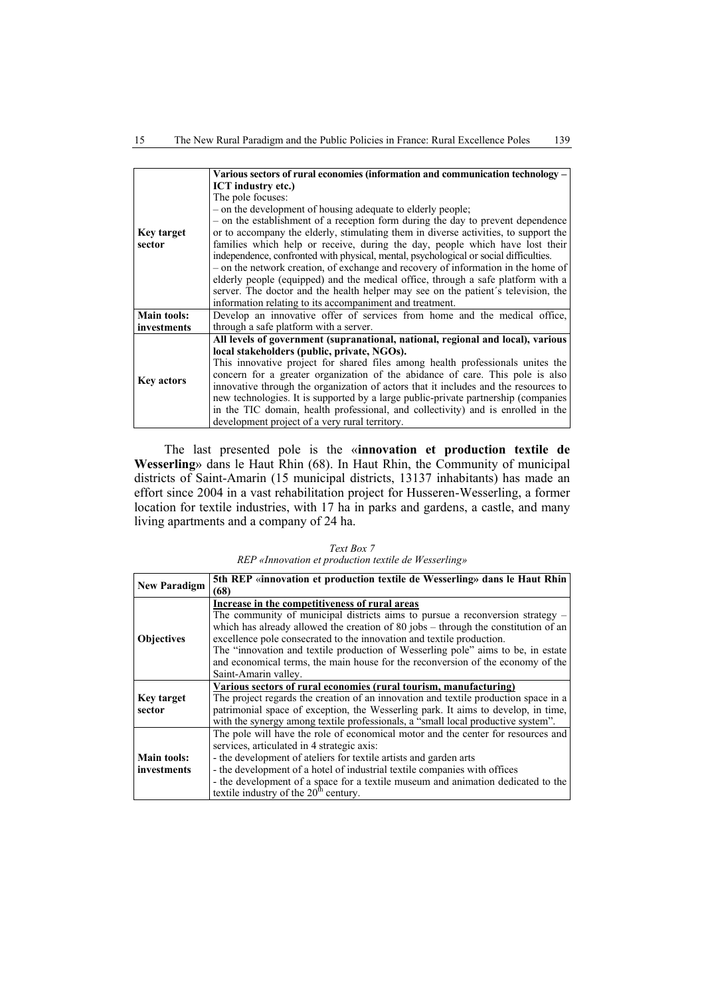|                   | Various sectors of rural economies (information and communication technology -        |
|-------------------|---------------------------------------------------------------------------------------|
|                   | <b>ICT</b> industry etc.)                                                             |
|                   | The pole focuses:                                                                     |
|                   | - on the development of housing adequate to elderly people;                           |
|                   | - on the establishment of a reception form during the day to prevent dependence       |
| Key target        | or to accompany the elderly, stimulating them in diverse activities, to support the   |
| sector            | families which help or receive, during the day, people which have lost their          |
|                   | independence, confronted with physical, mental, psychological or social difficulties. |
|                   | - on the network creation, of exchange and recovery of information in the home of     |
|                   | elderly people (equipped) and the medical office, through a safe platform with a      |
|                   | server. The doctor and the health helper may see on the patient's television, the     |
|                   | information relating to its accompaniment and treatment.                              |
| Main tools:       | Develop an innovative offer of services from home and the medical office,             |
| investments       | through a safe platform with a server.                                                |
|                   | All levels of government (supranational, national, regional and local), various       |
|                   | local stakeholders (public, private, NGOs).                                           |
| <b>Key actors</b> | This innovative project for shared files among health professionals unites the        |
|                   | concern for a greater organization of the abidance of care. This pole is also         |
|                   | innovative through the organization of actors that it includes and the resources to   |
|                   | new technologies. It is supported by a large public-private partnership (companies    |
|                   | in the TIC domain, health professional, and collectivity) and is enrolled in the      |
|                   | development project of a very rural territory.                                        |

The last presented pole is the «**innovation et production textile de Wesserling**» dans le Haut Rhin (68). In Haut Rhin, the Community of municipal districts of Saint-Amarin (15 municipal districts, 13137 inhabitants) has made an effort since 2004 in a vast rehabilitation project for Husseren-Wesserling, a former location for textile industries, with 17 ha in parks and gardens, a castle, and many living apartments and a company of 24 ha.

*Text Box 7 REP «Innovation et production textile de Wesserling»* 

| <b>New Paradigm</b> | 5th REP «innovation et production textile de Wesserling» dans le Haut Rhin          |
|---------------------|-------------------------------------------------------------------------------------|
|                     | (68)                                                                                |
|                     | Increase in the competitiveness of rural areas                                      |
|                     | The community of municipal districts aims to pursue a reconversion strategy $-$     |
|                     | which has already allowed the creation of 80 jobs – through the constitution of an  |
| <b>Objectives</b>   | excellence pole consecrated to the innovation and textile production.               |
|                     | The "innovation and textile production of Wesserling pole" aims to be, in estate    |
|                     | and economical terms, the main house for the reconversion of the economy of the     |
|                     | Saint-Amarin valley.                                                                |
|                     | Various sectors of rural economies (rural tourism, manufacturing)                   |
| <b>Key target</b>   | The project regards the creation of an innovation and textile production space in a |
| sector              | patrimonial space of exception, the Wesserling park. It aims to develop, in time,   |
|                     | with the synergy among textile professionals, a "small local productive system".    |
|                     | The pole will have the role of economical motor and the center for resources and    |
|                     | services, articulated in 4 strategic axis:                                          |
| <b>Main tools:</b>  | - the development of ateliers for textile artists and garden arts                   |
| investments         | - the development of a hotel of industrial textile companies with offices           |
|                     | - the development of a space for a textile museum and animation dedicated to the    |
|                     | textile industry of the $20th$ century.                                             |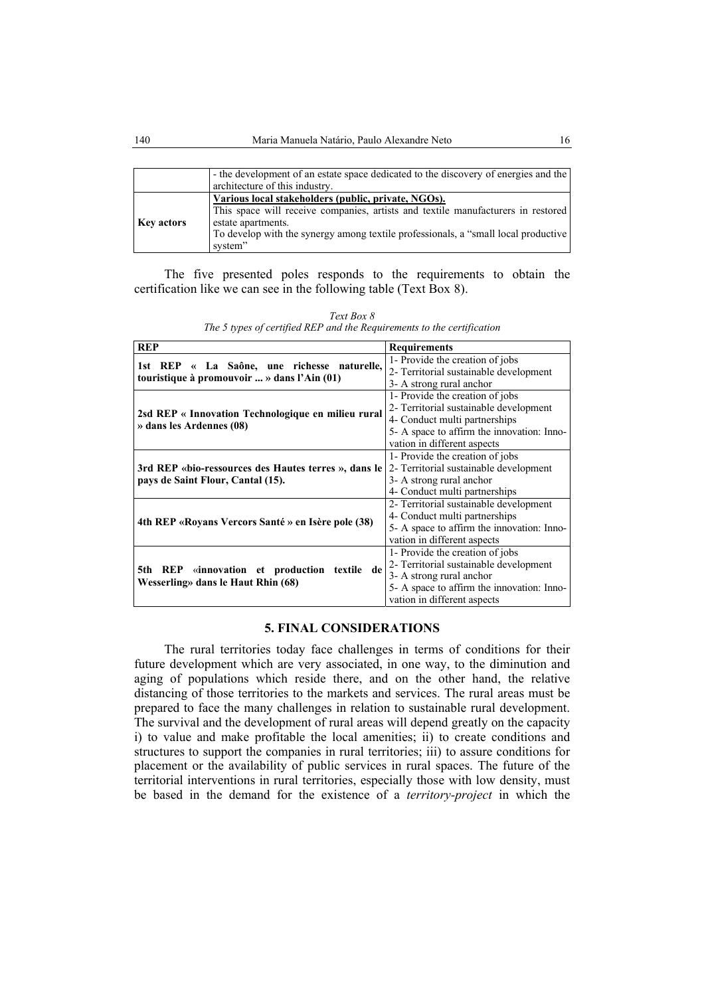|                   | - the development of an estate space dedicated to the discovery of energies and the<br>architecture of this industry.                                                                                                                                          |
|-------------------|----------------------------------------------------------------------------------------------------------------------------------------------------------------------------------------------------------------------------------------------------------------|
| <b>Key actors</b> | Various local stakeholders (public, private, NGOs).<br>This space will receive companies, artists and textile manufacturers in restored<br>estate apartments.<br>To develop with the synergy among textile professionals, a "small local productive<br>system" |

The five presented poles responds to the requirements to obtain the certification like we can see in the following table (Text Box 8).

| <b>REP</b>                                                                         | <b>Requirements</b>                        |  |  |
|------------------------------------------------------------------------------------|--------------------------------------------|--|--|
|                                                                                    | 1- Provide the creation of jobs            |  |  |
| 1st REP « La Saône, une richesse naturelle,                                        | 2- Territorial sustainable development     |  |  |
| touristique à promouvoir  » dans l'Ain (01)                                        | 3- A strong rural anchor                   |  |  |
| 2sd REP « Innovation Technologique en milieu rural<br>» dans les Ardennes (08)     | 1- Provide the creation of jobs            |  |  |
|                                                                                    | 2- Territorial sustainable development     |  |  |
|                                                                                    | 4- Conduct multi partnerships              |  |  |
|                                                                                    | 5- A space to affirm the innovation: Inno- |  |  |
|                                                                                    | vation in different aspects                |  |  |
|                                                                                    | 1- Provide the creation of jobs            |  |  |
| 3rd REP «bio-ressources des Hautes terres », dans le                               | 2- Territorial sustainable development     |  |  |
| pays de Saint Flour, Cantal (15).                                                  | 3- A strong rural anchor                   |  |  |
|                                                                                    | 4- Conduct multi partnerships              |  |  |
|                                                                                    | 2- Territorial sustainable development     |  |  |
|                                                                                    | 4- Conduct multi partnerships              |  |  |
| 4th REP «Royans Vercors Santé » en Isère pole (38)                                 | 5- A space to affirm the innovation: Inno- |  |  |
|                                                                                    | vation in different aspects                |  |  |
|                                                                                    | 1- Provide the creation of jobs            |  |  |
| 5th REP «innovation et production textile de<br>Wesserling» dans le Haut Rhin (68) | 2- Territorial sustainable development     |  |  |
|                                                                                    | 3- A strong rural anchor                   |  |  |
|                                                                                    | 5- A space to affirm the innovation: Inno- |  |  |
|                                                                                    | vation in different aspects                |  |  |

*Text Box 8 The 5 types of certified REP and the Requirements to the certification* 

## **5. FINAL CONSIDERATIONS**

The rural territories today face challenges in terms of conditions for their future development which are very associated, in one way, to the diminution and aging of populations which reside there, and on the other hand, the relative distancing of those territories to the markets and services. The rural areas must be prepared to face the many challenges in relation to sustainable rural development. The survival and the development of rural areas will depend greatly on the capacity i) to value and make profitable the local amenities; ii) to create conditions and structures to support the companies in rural territories; iii) to assure conditions for placement or the availability of public services in rural spaces. The future of the territorial interventions in rural territories, especially those with low density, must be based in the demand for the existence of a *territory-project* in which the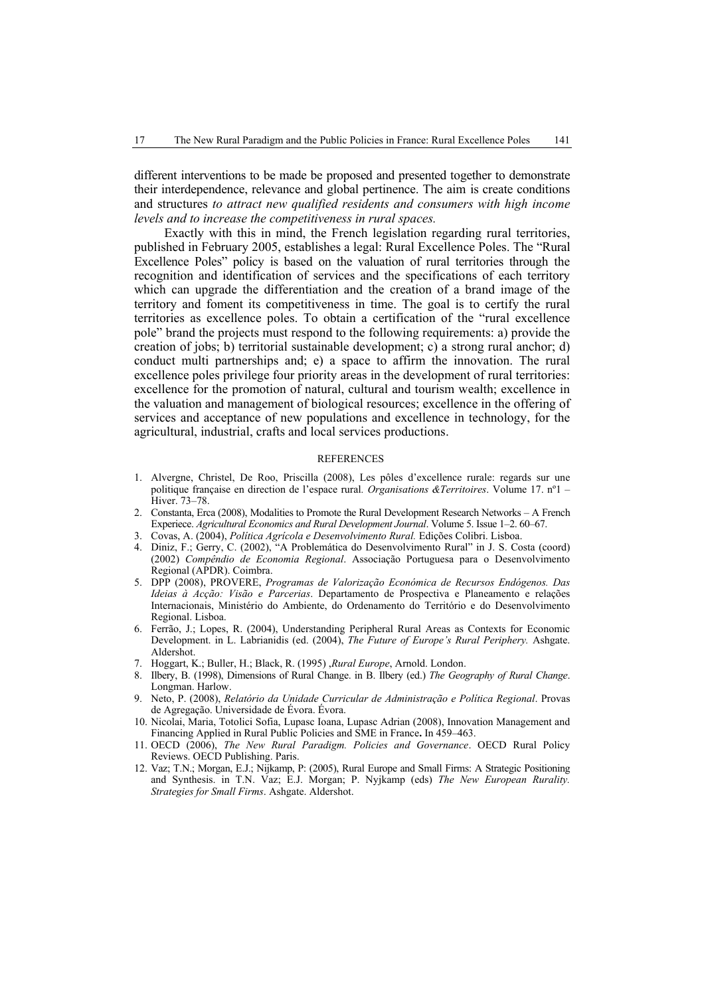different interventions to be made be proposed and presented together to demonstrate their interdependence, relevance and global pertinence. The aim is create conditions and structures *to attract new qualified residents and consumers with high income levels and to increase the competitiveness in rural spaces.*

Exactly with this in mind, the French legislation regarding rural territories, published in February 2005, establishes a legal: Rural Excellence Poles. The "Rural Excellence Poles" policy is based on the valuation of rural territories through the recognition and identification of services and the specifications of each territory which can upgrade the differentiation and the creation of a brand image of the territory and foment its competitiveness in time. The goal is to certify the rural territories as excellence poles. To obtain a certification of the "rural excellence pole" brand the projects must respond to the following requirements: a) provide the creation of jobs; b) territorial sustainable development; c) a strong rural anchor; d) conduct multi partnerships and; e) a space to affirm the innovation. The rural excellence poles privilege four priority areas in the development of rural territories: excellence for the promotion of natural, cultural and tourism wealth; excellence in the valuation and management of biological resources; excellence in the offering of services and acceptance of new populations and excellence in technology, for the agricultural, industrial, crafts and local services productions.

#### **REFERENCES**

- 1. Alvergne, Christel, De Roo, Priscilla (2008), Les pôles d'excellence rurale: regards sur une politique française en direction de l'espace rural*. Organisations &Territoires*. Volume 17. nº1 – Hiver. 73–78.
- 2. Constanta, Erca (2008), Modalities to Promote the Rural Development Research Networks A French Experiece. *Agricultural Economics and Rural Development Journal*. Volume 5. Issue 1–2. 60–67.
- 3. Covas, A. (2004), *Política Agrícola e Desenvolvimento Rural.* Edições Colibri. Lisboa.
- 4. Diniz, F.; Gerry, C. (2002), "A Problemática do Desenvolvimento Rural" in J. S. Costa (coord) (2002) *Compêndio de Economia Regional*. Associação Portuguesa para o Desenvolvimento Regional (APDR). Coimbra.
- 5. DPP (2008), PROVERE, *Programas de Valorização Económica de Recursos Endógenos. Das Ideias à Acção: Visão e Parcerias*. Departamento de Prospectiva e Planeamento e relações Internacionais, Ministério do Ambiente, do Ordenamento do Território e do Desenvolvimento Regional. Lisboa.
- 6. Ferrão, J.; Lopes, R. (2004), Understanding Peripheral Rural Areas as Contexts for Economic Development. in L. Labrianidis (ed. (2004), *The Future of Europe's Rural Periphery.* Ashgate. Aldershot.
- 7. Hoggart, K.; Buller, H.; Black, R. (1995) ,*Rural Europe*, Arnold. London.
- 8. Ilbery, B. (1998), Dimensions of Rural Change. in B. Ilbery (ed.) *The Geography of Rural Change*. Longman. Harlow.
- 9. Neto, P. (2008), *Relatório da Unidade Curricular de Administração e Política Regional*. Provas de Agregação. Universidade de Évora. Évora.
- 10. Nicolai, Maria, Totolici Sofia, Lupasc Ioana, Lupasc Adrian (2008), Innovation Management and Financing Applied in Rural Public Policies and SME in France**.** In 459–463.
- 11. OECD (2006), *The New Rural Paradigm. Policies and Governance*. OECD Rural Policy Reviews. OECD Publishing. Paris.
- 12. Vaz; T.N.; Morgan, E.J.; Nijkamp, P: (2005), Rural Europe and Small Firms: A Strategic Positioning and Synthesis. in T.N. Vaz; E.J. Morgan; P. Nyjkamp (eds) *The New European Rurality. Strategies for Small Firms*. Ashgate. Aldershot.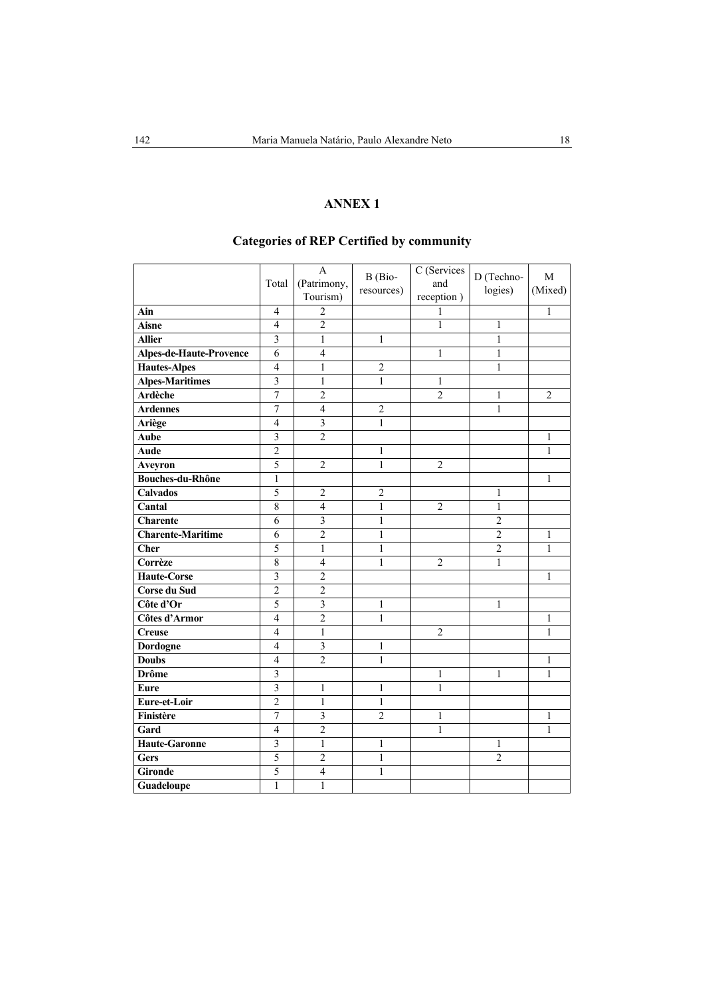## **ANNEX 1**

# **Categories of REP Certified by community**

|                                | Total                   | A<br>(Patrimony,<br>Tourism) | B (Bio-<br>resources) | C (Services<br>and<br>reception) | D (Techno-<br>logies) | M<br>(Mixed)   |
|--------------------------------|-------------------------|------------------------------|-----------------------|----------------------------------|-----------------------|----------------|
| Ain                            | $\overline{4}$          | $\overline{2}$               |                       | 1                                |                       | 1              |
| <b>Aisne</b>                   | $\overline{4}$          | $\overline{2}$               |                       | $\mathbf{1}$                     | 1                     |                |
| <b>Allier</b>                  | 3                       | $\mathbf{1}$                 | 1                     |                                  | $\mathbf{1}$          |                |
| <b>Alpes-de-Haute-Provence</b> | 6                       | $\overline{4}$               |                       | $\mathbf{1}$                     | $\mathbf{1}$          |                |
| <b>Hautes-Alpes</b>            | $\overline{4}$          | $\mathbf{1}$                 | $\overline{2}$        |                                  | $\mathbf{1}$          |                |
| <b>Alpes-Maritimes</b>         | 3                       | $\mathbf{1}$                 | $\mathbf{1}$          | $\mathbf{1}$                     |                       |                |
| <b>Ardèche</b>                 | $\overline{7}$          | $\overline{2}$               |                       | $\overline{2}$                   | $\mathbf{1}$          | $\overline{2}$ |
| <b>Ardennes</b>                | 7                       | $\overline{4}$               | $\overline{2}$        |                                  | $\mathbf{1}$          |                |
| Ariège                         | $\overline{4}$          | $\overline{3}$               | $\mathbf{1}$          |                                  |                       |                |
| Aube                           | $\overline{\mathbf{3}}$ | $\overline{2}$               |                       |                                  |                       | $\mathbf{1}$   |
| <b>Aude</b>                    | $\overline{2}$          |                              | $\mathbf{1}$          |                                  |                       | $\mathbf{1}$   |
| Aveyron                        | 5                       | $\overline{2}$               | $\mathbf{1}$          | $\overline{2}$                   |                       |                |
| <b>Bouches-du-Rhône</b>        | $\mathbf{1}$            |                              |                       |                                  |                       | 1              |
| <b>Calvados</b>                | 5                       | $\overline{2}$               | $\overline{2}$        |                                  | 1                     |                |
| Cantal                         | 8                       | $\overline{4}$               | 1                     | $\overline{2}$                   | 1                     |                |
| <b>Charente</b>                | 6                       | $\overline{3}$               | 1                     |                                  | $\overline{2}$        |                |
| <b>Charente-Maritime</b>       | 6                       | $\overline{2}$               | 1                     |                                  | $\overline{2}$        | 1              |
| <b>Cher</b>                    | 5                       | $\mathbf{1}$                 | 1                     |                                  | $\overline{2}$        | 1              |
| Corrèze                        | $\,$ $\,$               | 4                            | 1                     | $\overline{c}$                   | 1                     |                |
| <b>Haute-Corse</b>             | $\overline{\mathbf{3}}$ | $\overline{2}$               |                       |                                  |                       | 1              |
| Corse du Sud                   | $\overline{2}$          | $\overline{2}$               |                       |                                  |                       |                |
| Côte d'Or                      | 5                       | $\overline{\mathbf{3}}$      | $\mathbf{1}$          |                                  | 1                     |                |
| Côtes d'Armor                  | $\overline{4}$          | $\overline{2}$               | $\mathbf{1}$          |                                  |                       | 1              |
| <b>Creuse</b>                  | $\overline{4}$          | $\mathbf{1}$                 |                       | $\overline{c}$                   |                       | 1              |
| Dordogne                       | $\overline{4}$          | $\overline{3}$               | 1                     |                                  |                       |                |
| <b>Doubs</b>                   | $\overline{4}$          | $\overline{2}$               | $\mathbf{1}$          |                                  |                       | 1              |
| <b>Drôme</b>                   | $\overline{3}$          |                              |                       | $\mathbf{1}$                     | $\mathbf{1}$          | $\mathbf{1}$   |
| <b>Eure</b>                    | $\overline{\mathbf{3}}$ | $\mathbf{1}$                 | 1                     | $\mathbf{1}$                     |                       |                |
| Eure-et-Loir                   | $\overline{2}$          | $\mathbf{1}$                 | $\mathbf{1}$          |                                  |                       |                |
| Finistère                      | $\overline{7}$          | $\overline{\mathbf{3}}$      | $\overline{2}$        | 1                                |                       | 1              |
| Gard                           | $\overline{4}$          | $\overline{2}$               |                       | 1                                |                       | $\mathbf{1}$   |
| <b>Haute-Garonne</b>           | $\overline{3}$          | $\mathbf{1}$                 | 1                     |                                  | 1                     |                |
| <b>Gers</b>                    | 5                       | $\overline{2}$               | $\mathbf{1}$          |                                  | $\overline{2}$        |                |
| <b>Gironde</b>                 | $\overline{5}$          | $\overline{4}$               | $\mathbf{1}$          |                                  |                       |                |
| Guadeloupe                     | $\mathbf{1}$            | $\mathbf{1}$                 |                       |                                  |                       |                |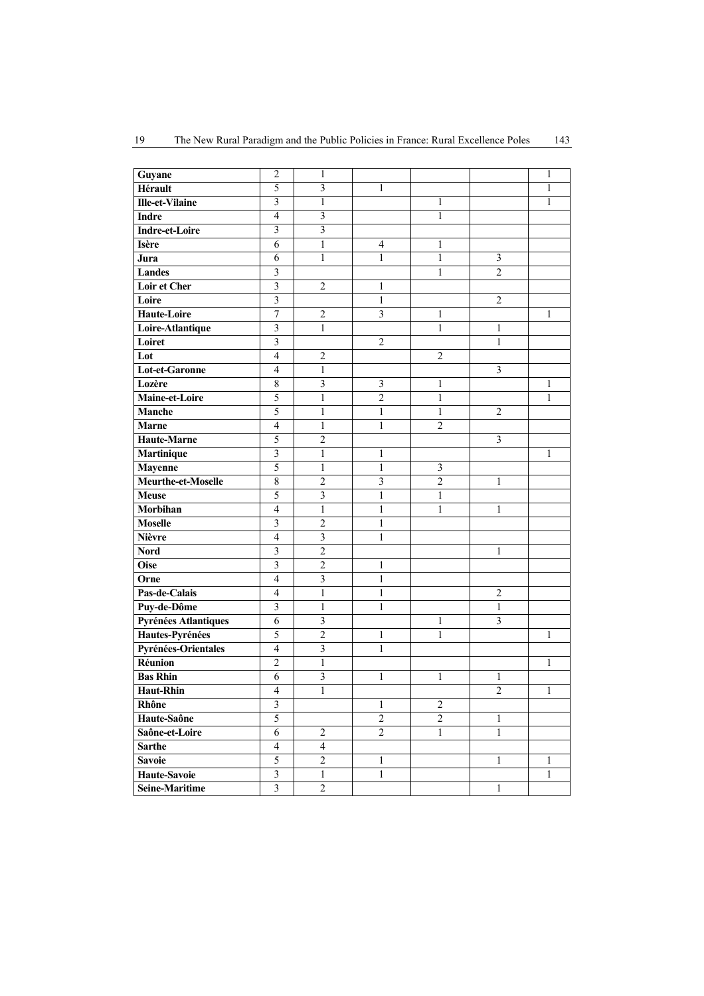|  | The New Rural Paradigm and the Public Policies in France: Rural Excellence Poles | 143 |
|--|----------------------------------------------------------------------------------|-----|
|--|----------------------------------------------------------------------------------|-----|

| Guyane                 | $\overline{2}$           | 1                       |                         |                |                         | 1            |
|------------------------|--------------------------|-------------------------|-------------------------|----------------|-------------------------|--------------|
| Hérault                | 5                        | $\mathfrak{Z}$          | $\mathbf{1}$            |                |                         | 1            |
| <b>Ille-et-Vilaine</b> | $\overline{3}$           | $\mathbf{1}$            |                         | $\mathbf{1}$   |                         | $\mathbf{1}$ |
| <b>Indre</b>           | $\overline{4}$           | 3                       |                         | 1              |                         |              |
| <b>Indre-et-Loire</b>  | 3                        | 3                       |                         |                |                         |              |
| <b>Isère</b>           | 6                        | 1                       | 4                       | 1              |                         |              |
| Jura                   | 6                        | 1                       | 1                       | 1              | $\mathfrak{Z}$          |              |
| <b>Landes</b>          | 3                        |                         |                         | 1              | $\overline{2}$          |              |
| <b>Loir et Cher</b>    | $\mathfrak{Z}$           | $\overline{c}$          | 1                       |                |                         |              |
| Loire                  | $\overline{3}$           |                         | 1                       |                | $\overline{2}$          |              |
| <b>Haute-Loire</b>     | 7                        | $\overline{c}$          | $\overline{\mathbf{3}}$ | 1              |                         | 1            |
| Loire-Atlantique       | 3                        | 1                       |                         | 1              | 1                       |              |
| Loiret                 | $\overline{\mathbf{3}}$  |                         | $\overline{2}$          |                | $\mathbf{1}$            |              |
| Lot                    | $\overline{4}$           | $\overline{2}$          |                         | $\overline{2}$ |                         |              |
| <b>Lot-et-Garonne</b>  | $\overline{4}$           | 1                       |                         |                | 3                       |              |
| Lozère                 | 8                        | 3                       | $\mathfrak{Z}$          | $\mathbf{1}$   |                         | 1            |
| Maine-et-Loire         | $\overline{5}$           | $\mathbf{1}$            | $\overline{2}$          | $\mathbf{1}$   |                         | $\mathbf{1}$ |
| Manche                 | 5                        | $\,1$                   | $\mathbf{1}$            | $\mathbf{1}$   | $\overline{2}$          |              |
| <b>Marne</b>           | $\overline{4}$           | $\,1$                   | $\mathbf{1}$            | $\overline{2}$ |                         |              |
| <b>Haute-Marne</b>     | 5                        | $\overline{c}$          |                         |                | 3                       |              |
| Martinique             | $\overline{\mathbf{3}}$  | $\mathbf{1}$            | 1                       |                |                         | 1            |
| <b>Mayenne</b>         | 5                        | 1                       | $\mathbf{1}$            | $\mathfrak{Z}$ |                         |              |
| Meurthe-et-Moselle     | $\overline{8}$           | $\overline{c}$          | $\mathfrak{Z}$          | $\overline{2}$ | 1                       |              |
| <b>Meuse</b>           | 5                        | $\overline{\mathbf{3}}$ | 1                       | $\mathbf{1}$   |                         |              |
| Morbihan               | $\overline{4}$           | $\mathbf{1}$            | $\mathbf{1}$            | $\mathbf{1}$   | 1                       |              |
| <b>Moselle</b>         | 3                        | $\overline{c}$          | $\mathbf{1}$            |                |                         |              |
| <b>Nièvre</b>          | $\overline{4}$           | $\mathfrak{Z}$          | $\mathbf{1}$            |                |                         |              |
| <b>Nord</b>            | $\overline{\mathbf{3}}$  | $\overline{c}$          |                         |                | 1                       |              |
| <b>Oise</b>            | $\overline{\mathbf{3}}$  | $\overline{2}$          | $\mathbf{1}$            |                |                         |              |
| Orne                   | $\overline{4}$           | $\mathfrak{Z}$          | $\mathbf{1}$            |                |                         |              |
| Pas-de-Calais          | $\overline{4}$           | $\mathbf{1}$            | $\mathbf{1}$            |                | $\overline{2}$          |              |
| Puy-de-Dôme            | $\mathfrak{Z}$           | $\mathbf{1}$            | $\mathbf{1}$            |                | $\,1\,$                 |              |
| Pyrénées Atlantiques   | 6                        | $\overline{\mathbf{3}}$ |                         | $\mathbf{1}$   | $\overline{\mathbf{3}}$ |              |
| Hautes-Pyrénées        | 5                        | $\overline{c}$          | 1                       | 1              |                         | 1            |
| Pyrénées-Orientales    | $\overline{4}$           | $\mathfrak{Z}$          | 1                       |                |                         |              |
| Réunion                | $\overline{c}$           | 1                       |                         |                |                         | 1            |
| <b>Bas Rhin</b>        | 6                        | 3                       | 1                       | 1              | 1                       |              |
| <b>Haut-Rhin</b>       | $\overline{4}$           | $\mathbf{1}$            |                         |                | $\overline{c}$          | 1            |
| Rhône                  | $\mathfrak{Z}$           |                         | 1                       | $\sqrt{2}$     |                         |              |
| Haute-Saône            | 5                        |                         | $\overline{2}$          | $\overline{2}$ | 1                       |              |
| Saône-et-Loire         | $\overline{6}$           | $\boldsymbol{2}$        | $\overline{2}$          | $\mathbf{1}$   | $\mathbf{1}$            |              |
| Sarthe                 | $\overline{\mathcal{A}}$ | $\overline{4}$          |                         |                |                         |              |
| <b>Savoie</b>          | $\sqrt{5}$               | $\boldsymbol{2}$        | 1                       |                | 1                       | 1            |
| Haute-Savoie           | $\overline{\mathbf{3}}$  | $\mathbf{1}$            | $\mathbf{1}$            |                |                         | $\mathbf{1}$ |
| Seine-Maritime         | $\mathfrak{Z}$           | $\overline{c}$          |                         |                | $\mathbf{1}$            |              |
|                        |                          |                         |                         |                |                         |              |